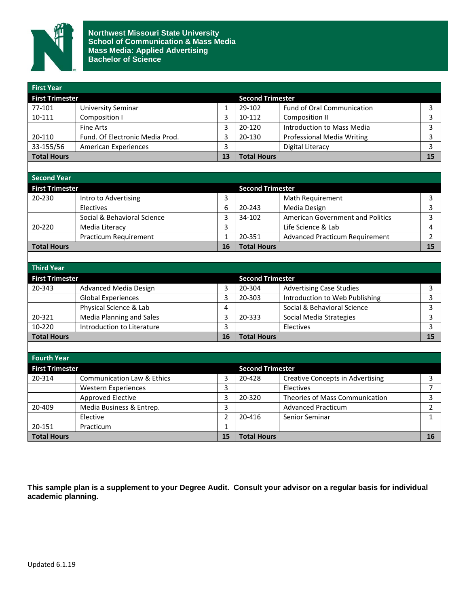

**Northwest Missouri State University School of Communication & Mass Media Mass Media: Applied Advertising Bachelor of Science**

| <b>First Year</b>      |                                       |                |                         |                                         |                |
|------------------------|---------------------------------------|----------------|-------------------------|-----------------------------------------|----------------|
| <b>First Trimester</b> |                                       |                | <b>Second Trimester</b> |                                         |                |
| 77-101                 | <b>University Seminar</b>             | 1              | 29-102                  | Fund of Oral Communication              | 3              |
| 10-111                 | Composition I                         | 3              | 10-112                  | Composition II                          | 3              |
|                        | <b>Fine Arts</b>                      | 3              | 20-120                  | Introduction to Mass Media              | 3              |
| 20-110                 | Fund. Of Electronic Media Prod.       | 3              | 20-130                  | Professional Media Writing              | 3              |
| 33-155/56              | <b>American Experiences</b>           | $\overline{3}$ |                         | <b>Digital Literacy</b>                 | 3              |
| <b>Total Hours</b>     |                                       | 13             | <b>Total Hours</b>      |                                         | 15             |
|                        |                                       |                |                         |                                         |                |
| <b>Second Year</b>     |                                       |                |                         |                                         |                |
| <b>First Trimester</b> |                                       |                | <b>Second Trimester</b> |                                         |                |
| 20-230                 | Intro to Advertising                  | 3              |                         | Math Requirement                        | 3              |
|                        | Electives                             | 6              | 20-243                  | Media Design                            | 3              |
|                        | Social & Behavioral Science           | 3              | 34-102                  | <b>American Government and Politics</b> | 3              |
| 20-220                 | Media Literacy                        | 3              |                         | Life Science & Lab                      | 4              |
|                        | Practicum Requirement                 | $\mathbf{1}$   | 20-351                  | <b>Advanced Practicum Requirement</b>   | $\overline{2}$ |
| <b>Total Hours</b>     |                                       | 16             | <b>Total Hours</b>      |                                         | 15             |
|                        |                                       |                |                         |                                         |                |
| <b>Third Year</b>      |                                       |                |                         |                                         |                |
| <b>First Trimester</b> |                                       |                | <b>Second Trimester</b> |                                         |                |
| 20-343                 | <b>Advanced Media Design</b>          | 3              | 20-304                  | <b>Advertising Case Studies</b>         | 3              |
|                        | <b>Global Experiences</b>             | 3              | 20-303                  | Introduction to Web Publishing          | 3              |
|                        | Physical Science & Lab                | 4              |                         | Social & Behavioral Science             | 3              |
| 20-321                 | <b>Media Planning and Sales</b>       | 3              | 20-333                  | Social Media Strategies                 | 3              |
| 10-220                 | Introduction to Literature            | $\overline{3}$ |                         | Electives                               | 3              |
| <b>Total Hours</b>     |                                       | 16             | <b>Total Hours</b>      |                                         | 15             |
|                        |                                       |                |                         |                                         |                |
| <b>Fourth Year</b>     |                                       |                |                         |                                         |                |
| <b>First Trimester</b> |                                       |                | <b>Second Trimester</b> |                                         |                |
| 20-314                 | <b>Communication Law &amp; Ethics</b> | 3              | 20-428                  | <b>Creative Concepts in Advertising</b> | 3              |
|                        | <b>Western Experiences</b>            | 3              |                         | Electives                               | $\overline{7}$ |
|                        | <b>Approved Elective</b>              | 3              | 20-320                  | Theories of Mass Communication          | 3              |
| 20-409                 | Media Business & Entrep.              | 3              |                         | <b>Advanced Practicum</b>               | $\overline{2}$ |
|                        | Elective                              | $\overline{2}$ | 20-416                  | Senior Seminar                          | $\mathbf{1}$   |
| 20-151                 | Practicum                             | $\mathbf{1}$   |                         |                                         |                |
| <b>Total Hours</b>     |                                       | 15             | <b>Total Hours</b>      |                                         | 16             |

**This sample plan is a supplement to your Degree Audit. Consult your advisor on a regular basis for individual academic planning.**